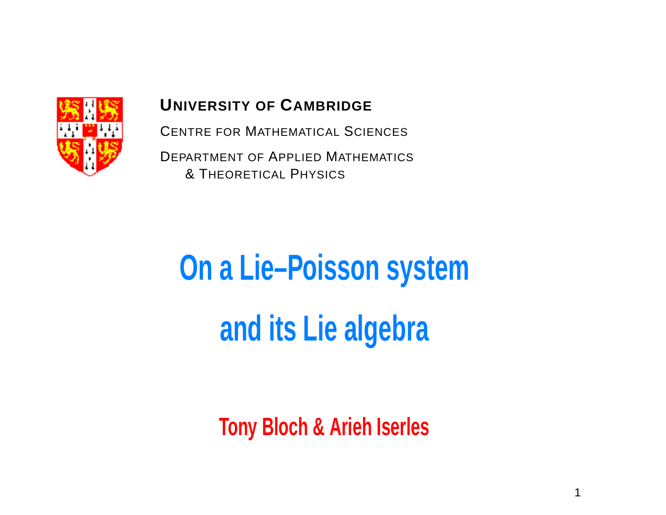

#### **UNIVERSITY OF CAMBRIDGE**

CENTRE FOR MATHEMATICAL SCIENCES

DEPARTMENT OF APPLIED MATHEMATICS & THEORETICAL PHYSICS

# **On <sup>a</sup> Lie–Poisson system and its Lie algebra**

**Tony Bloch & Arieh Iserles**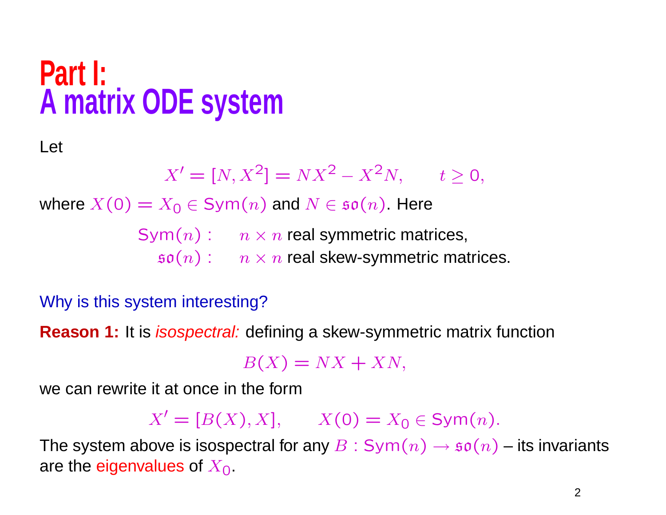## **Part I: <sup>A</sup> matrix ODE system**

Let

$$
X' = [N, X^2] = N X^2 - X^2 N, \qquad t \ge 0,
$$

where  $X(0) = X_0 \in \text{Sym}(n)$  and  $N \in \mathfrak{so}(n)$ . Here

 $\mathsf{Sym}(n):=n\times n$  real symmetric matrices,

 $\mathfrak{so}(n):=n\times n$  real skew-symmetric matrices.

Why is this system interesting?

**Reason 1:** It is *isospectral:* defining a skew-symmetric matrix function

 $B(X) = NX + XN,$ 

we can rewrite it at once in the form

 $X' = [B(X), X],$   $X(0) = X_0 \in \text{Sym}(n).$ 

The system above is isospectral for any  $B:Sym(n) \rightarrow \mathfrak{so}(n)$  – its invariants are the eigenvalues of  $X_{0}$ .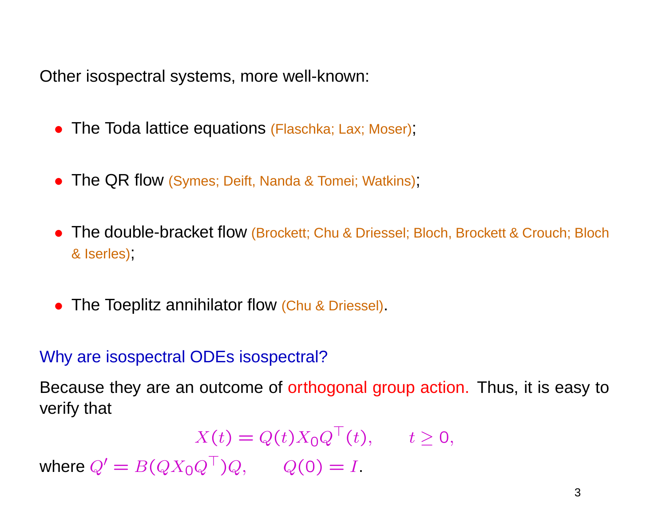Other isospectral systems, more well-known:

- The Toda lattice equations (Flaschka; Lax; Moser);
- The QR flow (Symes; Deift, Nanda & Tomei; Watkins),
- The double-bracket flow (Brockett; Chu & Driessel; Bloch, Brockett & Crouch; Bloch & Iserles);
- The Toeplitz annihilator flow (Chu & Driessel).

#### Why are isospectral ODEs isospectral?

Because they are an outcome of orthogonal group action. Thus, it is easy to verify that

 $X(t) = Q(t)X_0Q^{\top}(t), \quad t \ge 0,$ where  $Q' = B(QX_0Q^\top)Q, \qquad Q(0) = I.$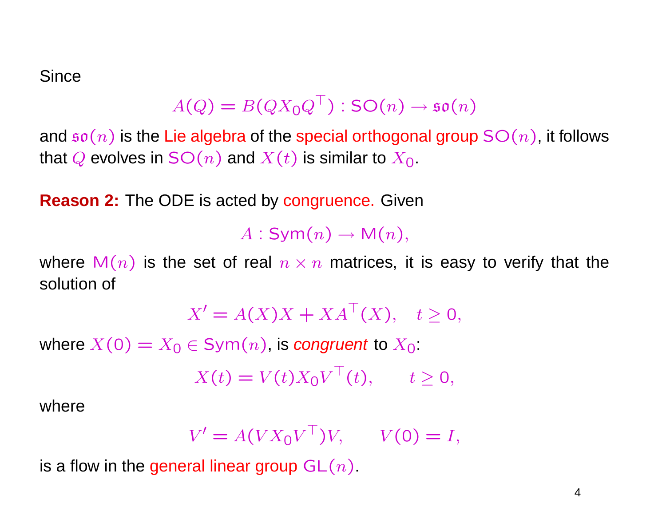Since

$$
A(Q) = B(QX_0Q^{\top}) : SO(n) \to \mathfrak{so}(n)
$$

and  $\mathfrak{so}(n)$  is the Lie algebra of the special orthogonal group  $SO(n)$ , it follows that Q evolves in  $SO(n)$  and  $X(t)$  is similar to  $X_0$ .

**Reason 2:** The ODE is acted by congruence. Given

 $A:Sym(n) \rightarrow M(n),$ 

where  $M(n)$  is the set of real  $n \times n$  matrices, it is easy to verify that the solution of

$$
X' = A(X)X + XA^{\top}(X), \quad t \ge 0,
$$

where  $X(0) = X_0 \in \text{Sym}(n)$ , is congruent to  $X_0$ :

$$
X(t) = V(t)X_0V^{\top}(t), \qquad t \ge 0,
$$

where

$$
V' = A(VX_0V^\top)V, \qquad V(0) = I,
$$

is a flow in the general linear group  $GL(n)$ .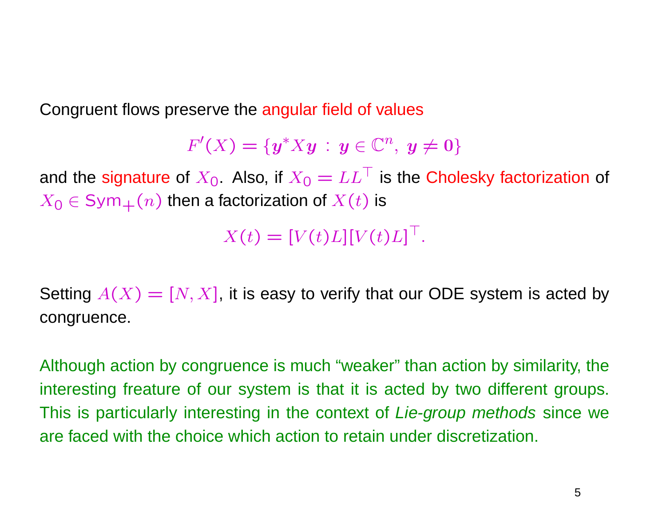Congruent flows preserve the angular field of values

$$
F'(X)=\{\boldsymbol{y}^*X\boldsymbol{y} \,:\, \boldsymbol{y}\in\mathbb{C}^n,\ \boldsymbol{y}\neq \boldsymbol{0}\}
$$

and the signature of  $X_0$ . Also, if  $X_0 = LL^\top$  is the Cholesky factorization of  $X_0 \in Sym_+(n)$  then a factorization of  $X(t)$  is

 $X(t) = [V(t)L][V(t)L]^\top$ .

Setting  $A(X) = [N, X]$ , it is easy to verify that our ODE system is acted by congruence.

Although action by congruence is much "weaker" than action by similarity, the interesting freature of our system is that it is acted by two different groups. This is particularly interesting in the context of Lie-group methods since we are faced with the choice which action to retain under discretization.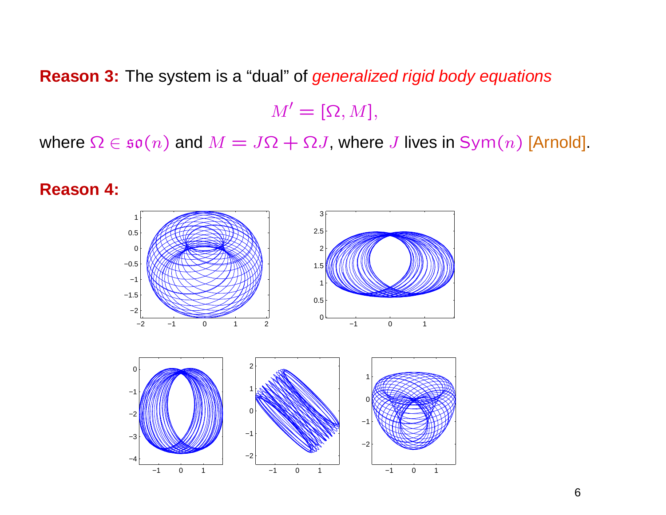**Reason 3:** The system is <sup>a</sup> "dual" of generalized rigid body equations

 $M' = [\Omega, M],$ 

where  $\Omega \in \mathfrak{so}(n)$  and  $M = J\Omega + \Omega J$ , where J lives in Sym $(n)$  [Arnold].

**Reason 4:**

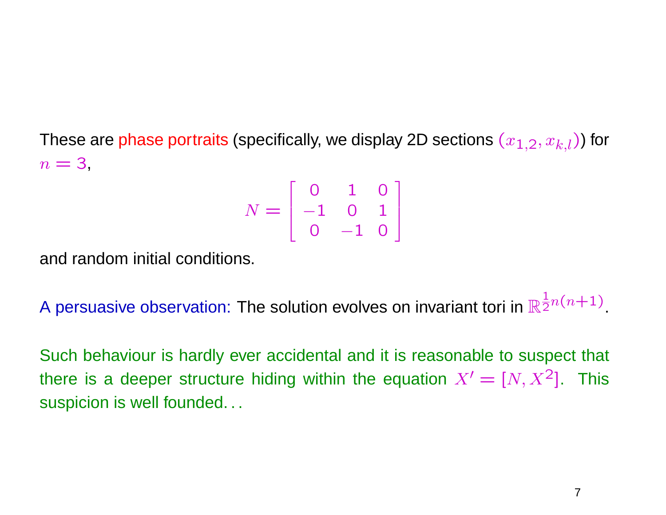These are phase portraits (specifically, we display 2D sections  $(x_{1,2}, x_{k,l})$ ) for  $n = 3$ 

$$
N = \left[ \begin{array}{rrr} 0 & 1 & 0 \\ -1 & 0 & 1 \\ 0 & -1 & 0 \end{array} \right]
$$

and random initial conditions.

A persuasive observation: The solution evolves on invariant tori in  $\mathbb R$  $\frac{1}{2}n(n+1)$ 

Such behaviour is hardly ever accidental and it is reasonable to suspect that there is a deeper structure hiding within the equation  $X' = [N, X^2]$ . This suspicion is well founded...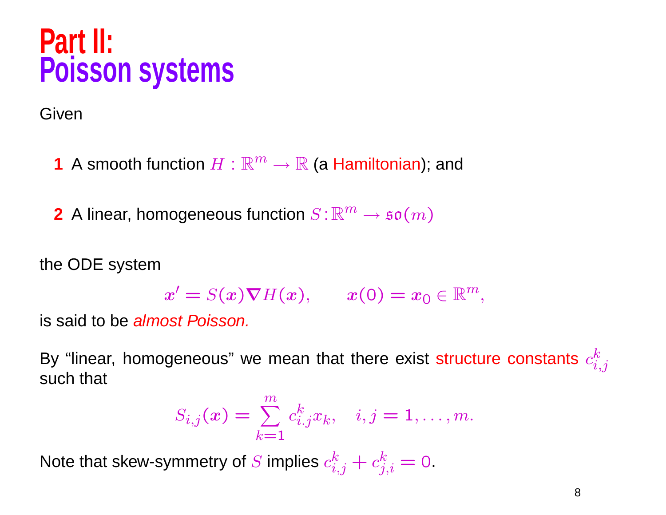## **Part II: Poisson systems**

Given

**1** A smooth function  $H : \mathbb{R}^m \to \mathbb{R}$  (a Hamiltonian); and

**2** A linear, homogeneous function  $S: \mathbb{R}^m \to \mathfrak{so}(m)$ 

the ODE system

$$
x' = S(x)\nabla H(x), \qquad x(0) = x_0 \in \mathbb{R}^m,
$$

is said to be almost Poisson.

By "linear, homogeneous" we mean that there exist structure constants  $c_{i,j}^k$  such that

$$
S_{i,j}(x) = \sum_{k=1}^{m} c_{i,j}^{k} x_k, \quad i, j = 1, \dots, m.
$$

Note that skew-symmetry of S implies  $c_{i,j}^k + c_{j,i}^k = 0$ .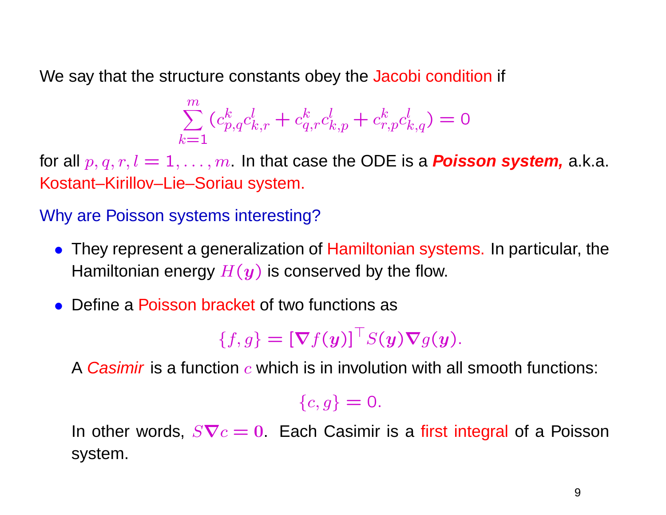We say that the structure constants obey the Jacobi condition if

$$
\sum_{k=1}^{m} (c_{p,q}^{k} c_{k,r}^{l} + c_{q,r}^{k} c_{k,p}^{l} + c_{r,p}^{k} c_{k,q}^{l}) = 0
$$

for all  $p, q, r, l = 1, ..., m$ . In that case the ODE is a **Poisson system,** a.k.a. Kostant–Kirillov–Lie–Soriau system.

#### Why are Poisson systems interesting?

- They represent a generalization of Hamiltonian systems. In particular, the Hamiltonian energy  $H(y)$  is conserved by the flow.
- Define a Poisson bracket of two functions as

 $\{f,g\} = [\nabla f(y)]^\top S(y) \nabla g(y).$ 

A *Casimir* is a function  $c$  which is in involution with all smooth functions:

#### $\{c,g\}=\mathsf{0}.$

In other words,  $S{\bf \nabla}c=0$  Each Casimir is a first integral of a Poisson system.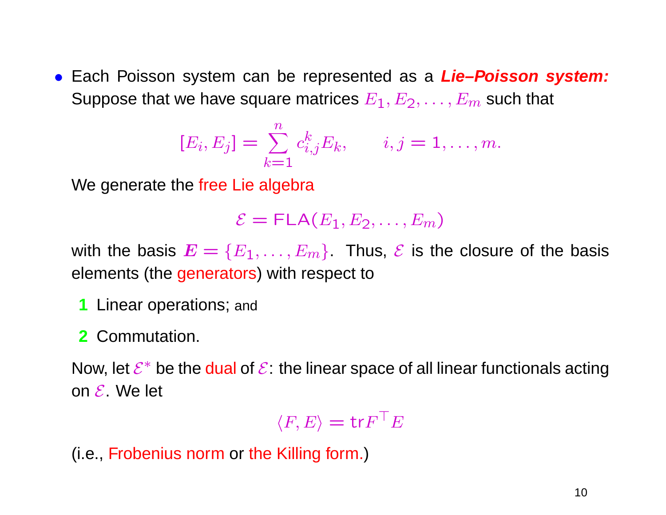• Each Poisson system can be represented as <sup>a</sup> **Lie–Poisson system:** Suppose that we have square matrices  $E_1,E_2,\ldots,E_m$  such that

$$
[E_i, E_j] = \sum_{k=1}^n c_{i,j}^k E_k, \qquad i, j = 1, \dots, m.
$$

We generate the free Lie algebra

$$
\mathcal{E} = \mathsf{FLA}(E_1, E_2, \ldots, E_m)
$$

with the basis  $\bm{E} = \{E_1, \dots, E_m\}$  Thus,  $\bm{\mathcal{E}}$  is the closure of the basis elements (the generators) with respect to

- **1** Linear operations; and
- **2** Commutation.

Now, let  $\mathcal{E}^*$  be the dual of  $\mathcal{E}$ : the linear space of all linear functionals acting on  ${\cal E}$  . We let

> $\langle F, E \rangle = \text{tr} F$  ${}^{\top}E$

(i.e., Frobenius norm or the Killing form. )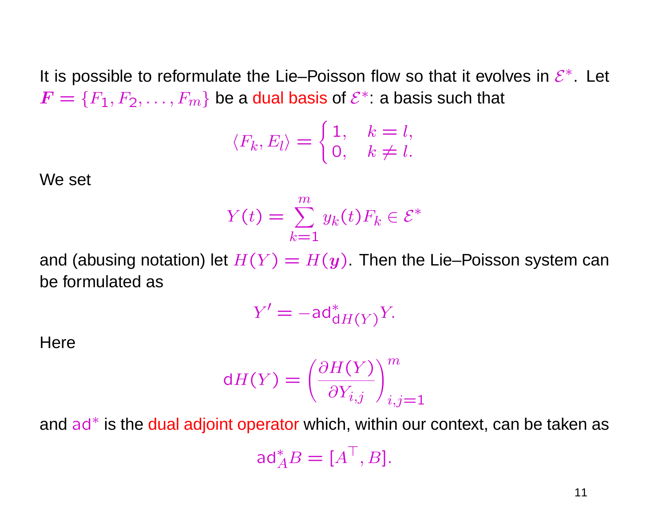It is possible to reformulate the Lie–Poisson flow so that it evolves in  $\mathcal{E}^*$ . Let  $\bm{F}=\{F_1,F_2,\ldots,F_m\}$  be a dual basis of  $\mathcal{E}^*$ : a basis such that

$$
\langle F_k, E_l \rangle = \begin{cases} 1, & k = l, \\ 0, & k \neq l. \end{cases}
$$

We set

$$
Y(t) = \sum_{k=1}^{m} y_k(t) F_k \in \mathcal{E}^*
$$

and (abusing notation) let  $H(Y) = H(y)$  Then the Lie–Poisson system can be formulated as

$$
Y' = -\mathsf{ad}^*_{\mathsf{d}H(Y)}Y.
$$

**Here** 

$$
dH(Y) = \left(\frac{\partial H(Y)}{\partial Y_{i,j}}\right)_{i,j=1}^m
$$

and ad\* is the dual adjoint operator which, within our context, can be taken as ad ∗  $A^* A B = [A^{\top}, B].$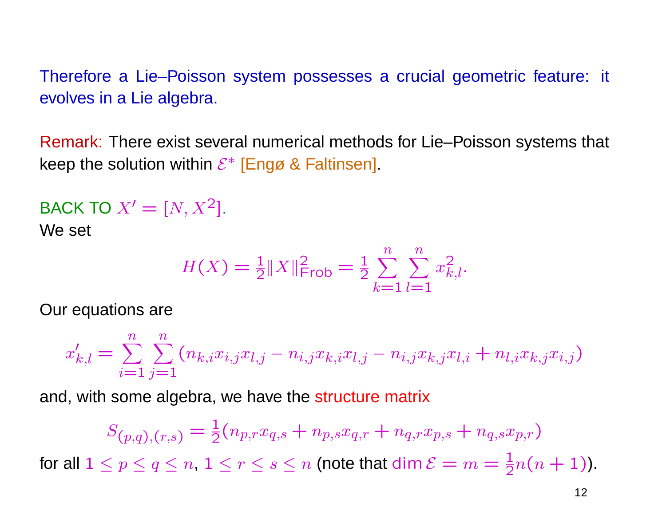Therefore <sup>a</sup> Lie–Poisson system possesses <sup>a</sup> crucial geometric feature: it evolves in <sup>a</sup> Lie algebra.

Remark: There exist several numerical methods for Lie–Poisson systems that keep the solution within  $\mathcal{E}^*$  [Engø & Faltinsen].

$$
BACK TO X' = [N, X^2].
$$
  
We set

$$
H(X) = \frac{1}{2} \|X\|_{\text{Frob}}^2 = \frac{1}{2} \sum_{k=1}^n \sum_{l=1}^n x_{k,l}^2.
$$

Our equations are

$$
x'_{k,l} = \sum_{i=1}^{n} \sum_{j=1}^{n} (n_{k,i}x_{i,j}x_{l,j} - n_{i,j}x_{k,i}x_{l,j} - n_{i,j}x_{k,j}x_{l,i} + n_{l,i}x_{k,j}x_{i,j})
$$

and, with some algebra, we have the structure matrix

$$
S_{(p,q),(r,s)} = \frac{1}{2}(n_{p,r}x_{q,s} + n_{p,s}x_{q,r} + n_{q,r}x_{p,s} + n_{q,s}x_{p,r})
$$
  
for all  $1 \le p \le q \le n$ ,  $1 \le r \le s \le n$  (note that dim  $\mathcal{E} = m = \frac{1}{2}n(n+1)$ ).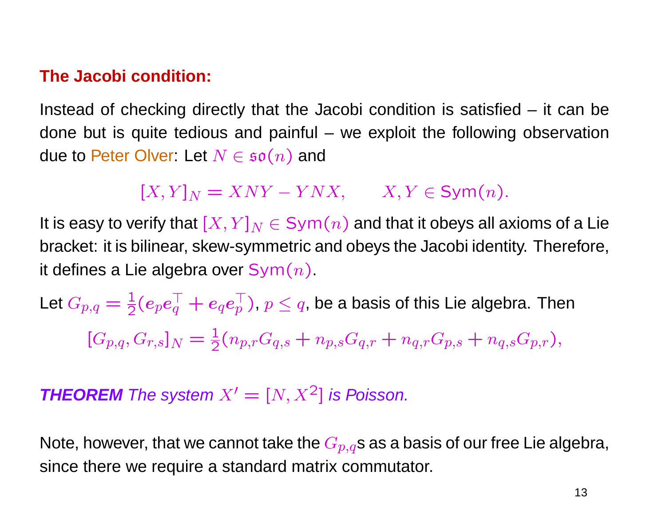#### **The Jacobi condition:**

Instead of checking directly that the Jacobi condition is satisfied – it can be done but is quite tedious and painful – we exploit the following observation due to Peter Olver: Let  $N \in \mathfrak{so}(n)$  and

 $[X, Y]_N = XNY - YNX,$   $X, Y \in \text{Sym}(n).$ 

It is easy to verify that  $[X, Y]_N \in \text{Sym}(n)$  and that it obeys all axioms of a Lie bracket: it is bilinear, skew-symmetric and obeys the Jacobi identity. Therefore, it defines a Lie algebra over  $Sym(n)$ .

Let  $G_{p,q} = \frac{1}{2}(e_p e_q^{\top} + e_q e_p^{\top})$ ,  $p \leq q$ , be a basis of this Lie algebra. Then  $[G_{p,q}, G_{r,s}]_N = \frac{1}{2}(n_{p,r}G_{q,s} + n_{p,s}G_{q,r} + n_{q,r}G_{p,s} + n_{q,s}G_{p,r}),$ 

**THEOREM** The system  $X' = [N, X^2]$  is Poisson.

Note, however, that we cannot take the  $G_{p,q}$ s as a basis of our free Lie algebra, since there we require <sup>a</sup> standard matrix commutator.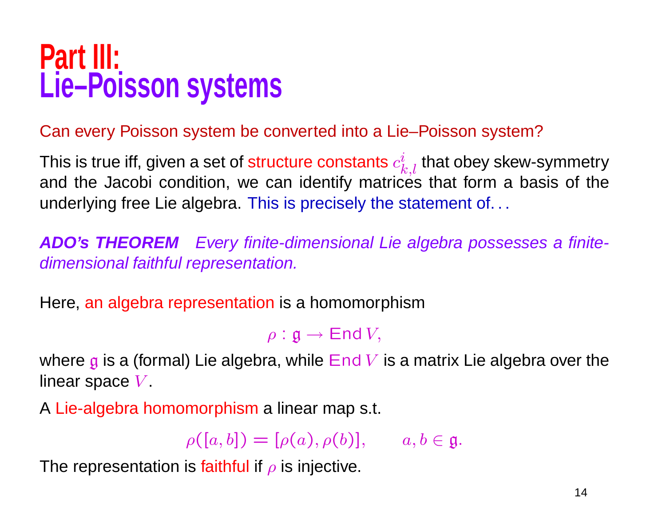## **Part III: Lie–Poisson systems**

#### Can every Poisson system be converted into <sup>a</sup> Lie–Poisson system?

This is true iff, given a set of structure constants  $c_{k,l}^i$  that obey skew-symmetry<br>and the Jacobi condition, we can identify matrices that form a basis of the underlying free Lie algebra. This is precisely the statement of. . .

**ADO's THEOREM** Every finite-dimensional Lie algebra possesses <sup>a</sup> finitedimensional faithful representation.

Here, an algebra representation is <sup>a</sup> homomorphism

 $\rho : \mathfrak{g} \rightarrow \mathsf{End}\,V,$ 

where  $\boldsymbol{\mathfrak{g}}$  is a (formal) Lie algebra, while  $\operatorname{\mathsf{End}} V$  is a matrix Lie algebra over the linear space  $V_\cdot$ 

<sup>A</sup> Lie-algebra homomorphism <sup>a</sup> linear map s.t.

 $\rho([a,b]) = [\rho(a),\rho(b)], \qquad a,b \in \mathfrak{g}.$ 

The representation is faithful if  $\rho$  is injective.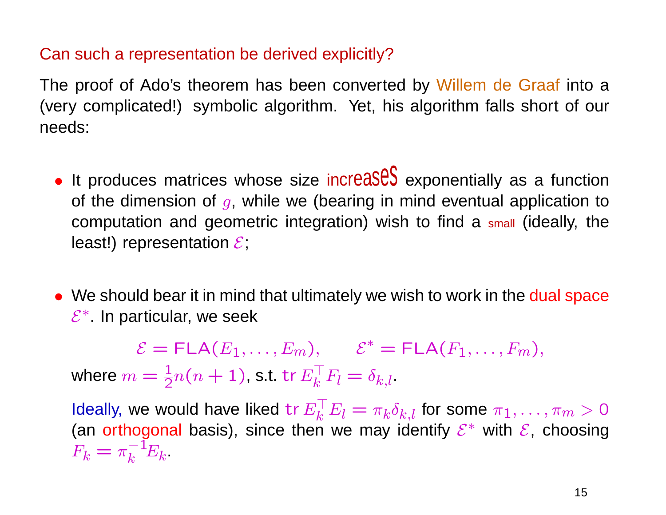#### Can such <sup>a</sup> representation be derived explicitly?

The proof of Ado's theorem has been converted by Willem de Graaf into <sup>a</sup> (very complicated!) symbolic algorithm. Yet, his algorithm falls short of our needs:

- $\bullet$  It produces matrices whose size increases exponentially as a function of the dimension of  $g$ , while we (bearing in mind eventual application to computation and geometric integration) wish to find <sup>a</sup> small (ideally, the least!) representation  $\mathcal E;$
- We should bear it in mind that ultimately we wish to work in the dual space  $\mathcal{E}^*$ . In particular, we seek

 $\mathcal{E} = \mathsf{FLA}(E_1, \ldots, E_m), \qquad \mathcal{E}^* = \mathsf{FLA}(F_1, \ldots, F_m),$ where  $m=\frac{1}{2}$  $\frac{1}{2}n(n+1)$ , s.t. tr $E_{k}^{\top}$  $\mathbf{F}_k^\top F_l = \delta_{k,l}$ 

Ideally, we would have liked tr $E_k^\top$  $\pi_k^\top E_l = \pi_k \delta_{k,l}$  for some  $\pi_1,\ldots,\pi_m>0$ (an orthogonal basis), since then we may identify  $\mathcal{E}^*$  with  $\mathcal{E},$  choosing  $F_k = \pi$ — **1**  $k^{-1}E_k$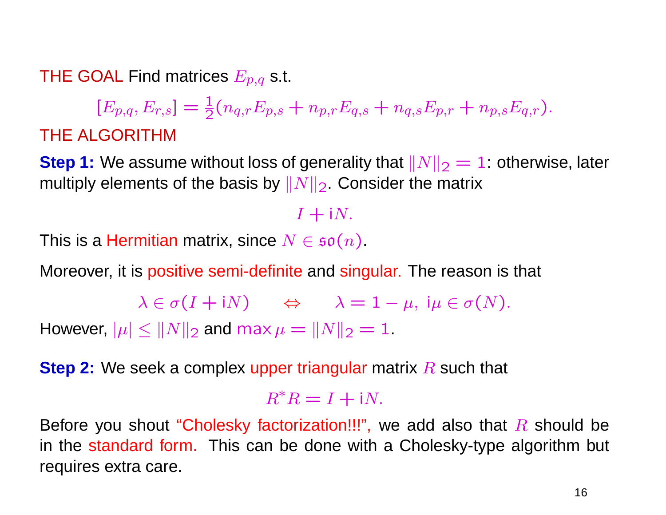THE GOAL Find matrices  $E_{p,q}$  s.t.

 $[E_{p,q}, E_{r,s}] = \frac{1}{2}(n_{q,r}E_{p,s} + n_{p,r}E_{q,s} + n_{q,s}E_{p,r} + n_{p,s}E_{q,r}).$ THE ALGORITHM

**Step 1:** We assume without loss of generality that  $||N||_2 = 1$ : otherwise, later multiply elements of the basis by  $||N||_2$ . Consider the matrix

 $I + iN$ .

This is a Hermitian matrix, since  $N \in \mathfrak{so}(n)$ .

Moreover, it is positive semi-definite and singular. The reason is that

```
\lambda \in \sigma(I + iN) \Leftrightarrow \lambda = 1 - \mu, i\mu \in \sigma(N).
```
However,  $|\mu| \leq ||N||_2$  and max  $\mu = ||N||_2 = 1$ .

**Step 2:** We seek a complex upper triangular matrix R such that

 $R^*R = I + iN$ .

Before you shout "Cholesky factorization!!!", we add also that  $R$  should be in the standard form. This can be done with <sup>a</sup> Cholesky-type algorithm but requires extra care.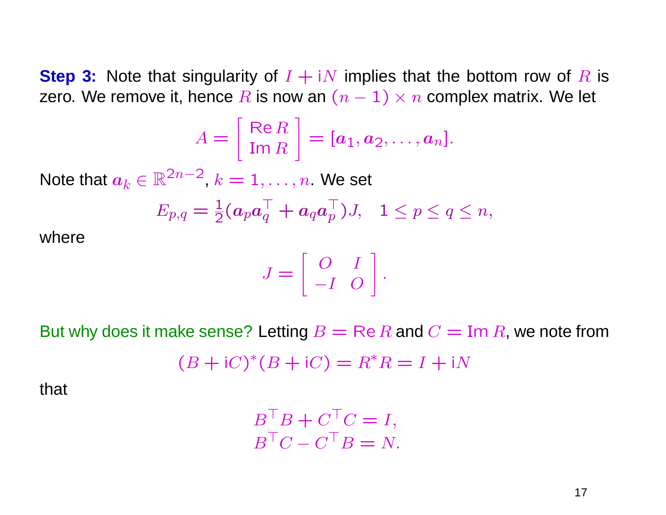**Step 3:** Note that singularity of  $I + iN$  implies that the bottom row of R is zero. We remove it, hence R is now an  $(n - 1) \times n$  complex matrix. We let

$$
A = \left[\begin{array}{c} \text{Re } R \\ \text{Im } R \end{array}\right] = [a_1, a_2, \ldots, a_n].
$$

Note that  $a_k \in \mathbb{R}^{2n-2}$ ,  $k = 1, \ldots, n$ . We set

$$
E_{p,q} = \frac{1}{2} (\boldsymbol{a}_p \boldsymbol{a}_q^\top + \boldsymbol{a}_q \boldsymbol{a}_p^\top) J, \quad 1 \leq p \leq q \leq n,
$$

where

$$
J = \left[ \begin{array}{cc} O & I \\ -I & O \end{array} \right].
$$

But why does it make sense? Letting  $B = \text{Re } R$  and  $C = \text{Im } R$ , we note from

$$
(B + iC)*(B + iC) = R*R = I + iN
$$

that

$$
B^{\top}B + C^{\top}C = I,
$$
  

$$
B^{\top}C - C^{\top}B = N.
$$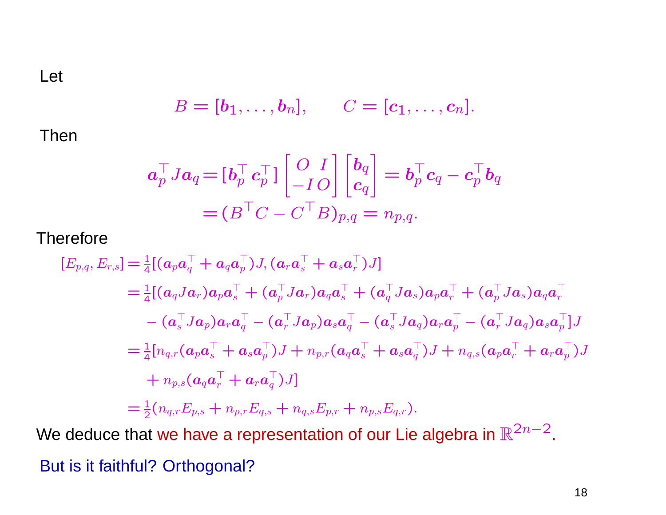Let

$$
B=[\mathbf{b}_1,\ldots,\mathbf{b}_n], \qquad C=[\mathbf{c}_1,\ldots,\mathbf{c}_n].
$$

Then

$$
\boldsymbol{a}_{p}^{\top}J\boldsymbol{a}_{q} = [\boldsymbol{b}_{p}^{\top}\boldsymbol{c}_{p}^{\top}]\begin{bmatrix} O & I \\ -IO \end{bmatrix}\begin{bmatrix} \boldsymbol{b}_{q} \\ \boldsymbol{c}_{q} \end{bmatrix} = \boldsymbol{b}_{p}^{\top}\boldsymbol{c}_{q} - \boldsymbol{c}_{p}^{\top}\boldsymbol{b}_{q} \\ = (\boldsymbol{B}^{\top}\boldsymbol{C} - \boldsymbol{C}^{\top}\boldsymbol{B})_{p,q} = n_{p,q}.
$$

**Therefore** 

$$
[E_{p,q}, E_{r,s}] = \frac{1}{4} [ (a_p a_q^{\top} + a_q a_p^{\top}) J, (a_r a_s^{\top} + a_s a_r^{\top}) J ]
$$
  
\n
$$
= \frac{1}{4} [ (a_q J a_r) a_p a_s^{\top} + (a_p^{\top} J a_r) a_q a_s^{\top} + (a_q^{\top} J a_s) a_p a_r^{\top} + (a_p^{\top} J a_s) a_q a_r^{\top}
$$
  
\n
$$
- (a_s^{\top} J a_p) a_r a_q^{\top} - (a_r^{\top} J a_p) a_s a_q^{\top} - (a_s^{\top} J a_q) a_r a_p^{\top} - (a_r^{\top} J a_q) a_s a_p^{\top} ] J
$$
  
\n
$$
= \frac{1}{4} [n_{q,r} (a_p a_s^{\top} + a_s a_p^{\top}) J + n_{p,r} (a_q a_s^{\top} + a_s a_q^{\top}) J + n_{q,s} (a_p a_r^{\top} + a_r a_p^{\top}) J
$$
  
\n
$$
+ n_{p,s} (a_q a_r^{\top} + a_r a_q^{\top}) J ]
$$
  
\n
$$
= \frac{1}{2} (n_{q,r} E_{p,s} + n_{p,r} E_{q,s} + n_{q,s} E_{p,r} + n_{p,s} E_{q,r}).
$$

We deduce that we have a representation of our Lie algebra in  $\mathbb{R}^{2n-2}$ .

But is it faithful? Orthogonal?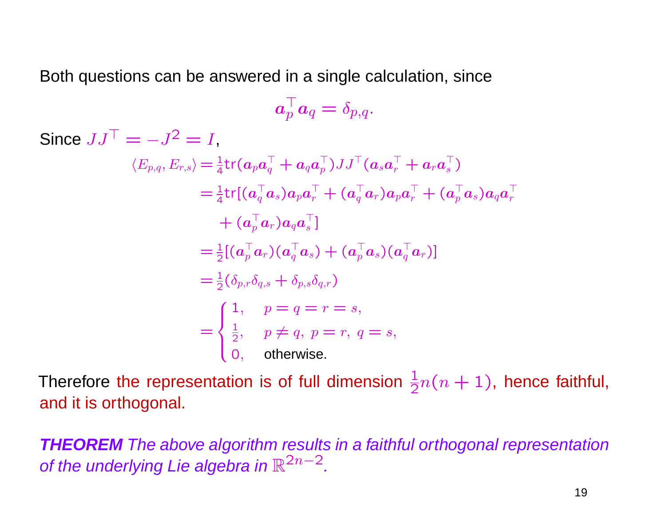Both questions can be answered in <sup>a</sup> single calculation, sinc e

$$
\boldsymbol{a}_{p}^{\top} \boldsymbol{a}_{q} = \delta_{p,q}.
$$

Since  $JJ^{\top} = -J^2 = I$ ,  $\langle E_{p,q}, E_{r,s}\rangle \! =\! \frac{1}{4}\mathsf{tr}(\bm{a}_p\bm{a}_q^{\top})$  $_q^{\top} + \bm a_q \bm a_p^{\top}$  $_{p}^{\top})JJ^{\top}(\boldsymbol{a}_{s}\boldsymbol{a}_{r}^{\top}% \boldsymbol{a}_{s}\boldsymbol{a}_{r}^{\top})\boldsymbol{a}_{s}\boldsymbol{a}_{r}^{\top}$  $_{r}^{\top}+\boldsymbol{a}_{r}\boldsymbol{a}_{s}^{\top}$  $\binom{1}{s}$  $=$   $\frac{1}{4}$ tr[( $a_q^\top$  $q^\top a_s) a_p a_r^\top + (a_q^\top)$  ${}^{\top}_qa_r) a_p a_r^{\top} + (a_p^{\top}$  ${}^{\top}_{p} a_s) a_q a_r^{\top}$  $\,r$  $+$   $(a_n^\top$  ${}_{p}^{\top} \bm{a}_r) \bm{a}_q \bm{a}_s^{\top}$  $_{s}^{\perp}$  ]  $= \frac{1}{2}[(a_p^\top$  $_{p}^{\top} a_{r} ) ( a_{q}^{\top}$  $_q^{\top} a_s) + (a_p^{\top}$  ${}^{\top}_{p} a_s) (a_q^{\top}$  $_{q}^{+}\bm{a}_{r})]$  $=$   $^{1}$  $\frac{1}{2}(\delta_{p,r}\delta_{q,s}+\delta_{p,s}\delta_{q,r})$ =  $\frac{2}{\sqrt{2}}$  $\left\{\right.$  $\overline{\mathcal{L}}$ 1,  $p = q = r = s$ ,  $\frac{1}{2}$ ,  $p \neq q$ ,  $p = r$ ,  $q = s$ , 0, otherwise.

Therefore the representation is of full dimension  $\frac{1}{2}$  $\frac{1}{2}n(n+1)$ , hence faithful, and it is orthogonal.

**THEOREM** The above algorithm results in <sup>a</sup> faithful orthogonal representation of the underlying Lie algebra in  $\mathbb{R}^{2n-2}$ .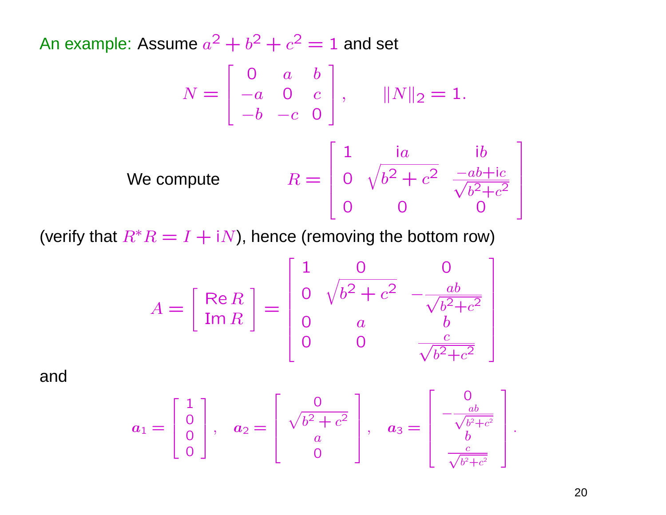An example: Assume  $a^2 + b^2 + c^2 = 1$  and set

$$
N = \begin{bmatrix} 0 & a & b \\ -a & 0 & c \\ -b & -c & 0 \end{bmatrix}, \qquad ||N||_2 = 1.
$$
  
We compute 
$$
R = \begin{bmatrix} 1 & ia & ib \\ 0 & \sqrt{b^2 + c^2} & \frac{-ab + ic}{\sqrt{b^2 + c^2}} \\ 0 & 0 & 0 \end{bmatrix}
$$

0 0 0

l

(verify that  $R^*R = I + iN$ ), hence (removing the bottom row)

$$
A = \begin{bmatrix} \text{Re } R \\ \text{Im } R \end{bmatrix} = \begin{bmatrix} 1 & 0 & 0 \\ 0 & \sqrt{b^2 + c^2} & -\frac{ab}{\sqrt{b^2 + c^2}} \\ 0 & a & b \\ 0 & 0 & \frac{c}{\sqrt{b^2 + c^2}} \end{bmatrix}
$$

and

$$
a_1 = \begin{bmatrix} 1 \\ 0 \\ 0 \\ 0 \end{bmatrix}, \quad a_2 = \begin{bmatrix} 0 \\ \sqrt{b^2 + c^2} \\ a \\ 0 \end{bmatrix}, \quad a_3 = \begin{bmatrix} 0 \\ -\frac{ab}{\sqrt{b^2 + c^2}} \\ b \\ \frac{c}{\sqrt{b^2 + c^2}} \end{bmatrix}.
$$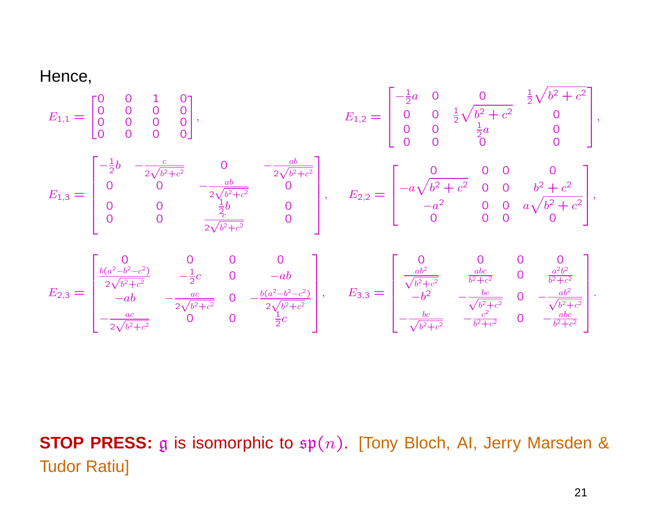Hence,

$$
E_{1,1} = \begin{bmatrix} 0 & 0 & 1 & 0 \\ 0 & 0 & 0 & 0 \\ 0 & 0 & 0 & 0 \\ 0 & 0 & 0 & 0 \end{bmatrix}, \qquad E_{1,2} = \begin{bmatrix} -\frac{1}{2}a & 0 & 0 & \frac{1}{2}\sqrt{b^2 + c^2} \\ 0 & 0 & \frac{1}{2}a & 0 \\ 0 & 0 & \frac{1}{2}a & 0 \\ 0 & 0 & 0 & 0 \end{bmatrix},
$$
  
\n
$$
E_{1,3} = \begin{bmatrix} -\frac{1}{2}b & -\frac{c}{2\sqrt{b^2 + c^2}} & 0 & -\frac{ab}{2\sqrt{b^2 + c^2}} \\ 0 & 0 & -\frac{ab}{2\sqrt{b^2 + c^2}} & 0 \\ 0 & 0 & \frac{1}{2}b & 0 \\ 0 & 0 & \frac{1}{2}b & 0 \\ 0 & 0 & \frac{1}{2}c & 0 \end{bmatrix}, \qquad E_{2,2} = \begin{bmatrix} 0 & 0 & 0 & 0 \\ -a\sqrt{b^2 + c^2} & 0 & 0 & b^2 + c^2 \\ -a^2 & 0 & 0 & a\sqrt{b^2 + c^2} \\ 0 & 0 & 0 & 0 \end{bmatrix},
$$
  
\n
$$
E_{2,3} = \begin{bmatrix} 0 & 0 & 0 & 0 & 0 \\ \frac{b(a^2 - b^2 - c^2)}{2\sqrt{b^2 + c^2}} & -\frac{1}{2}c & 0 & -ab \\ -ab & -\frac{ac}{2\sqrt{b^2 + c^2}} & 0 & -\frac{b(a^2 - b^2 - c^2)}{2\sqrt{b^2 + c^2}} \end{bmatrix}, \qquad E_{3,3} = \begin{bmatrix} 0 & 0 & 0 & 0 & 0 \\ \frac{ab^2}{\sqrt{b^2 + c^2}} & \frac{abc}{b^2 + c^2} & 0 & -\frac{ab^2}{b^2 + c^2} \\ -b^2 & -\frac{bc}{\sqrt{b^2 + c^2}} & 0 & -\frac{ab^2}{\sqrt{b^2 + c^2}} \end{bmatrix}.
$$

**STOP PRESS:** g is isomorphic to  $\mathfrak{sp}(n)$ . [Tony Bloch, AI, Jerry Marsden & Tudor Ratiu]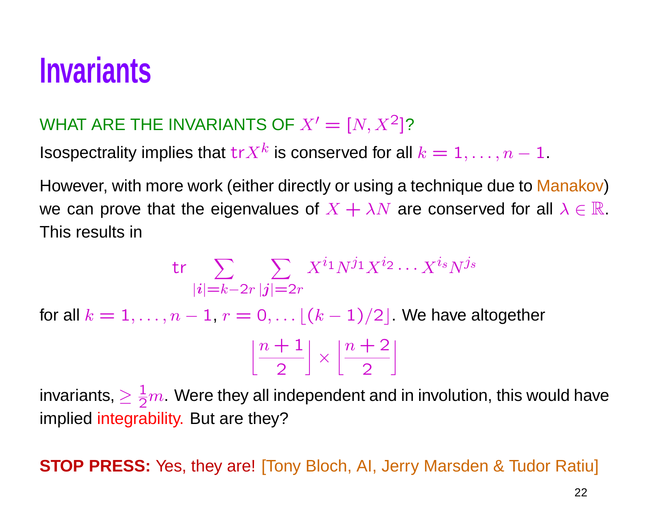# **Invariants**

#### WHAT ARE THE INVARIANTS OF  $X'=[N, X^2]$ ?

Isospectrality implies that  ${\rm tr} X^k$  is conserved for all  $k=1,\ldots,n-1.$ 

However, with more work (either directly or using a technique due to <mark>Manakov</mark>) we can prove that the eigenvalues of  $X + \lambda N$  are conserved for all  $\lambda \in \mathbb{R}$ . This results in

$$
\mathsf{tr}\sum_{|\boldsymbol{i}|=k-2r}\sum_{|\boldsymbol{j}|=2r}X^{i_1}N^{j_1}X^{i_2}\cdots X^{i_s}N^{j_s}
$$

for all  $k=1,\ldots,n-1$  ,  $r=0,\ldots \lfloor (k-1)/2 \rfloor.$  We have altogether

| $n+1$ |  | $n+2$ |
|-------|--|-------|
|       |  |       |

invariants,  $\geq \frac{1}{2}$  $\frac{1}{2}m$  . Were they all independent and in involution, this would have implied integrability. But are they?

**STOP PRESS:** Yes, they are! [Tony Bloch, AI, Jerry Marsden & Tudor Ratiu]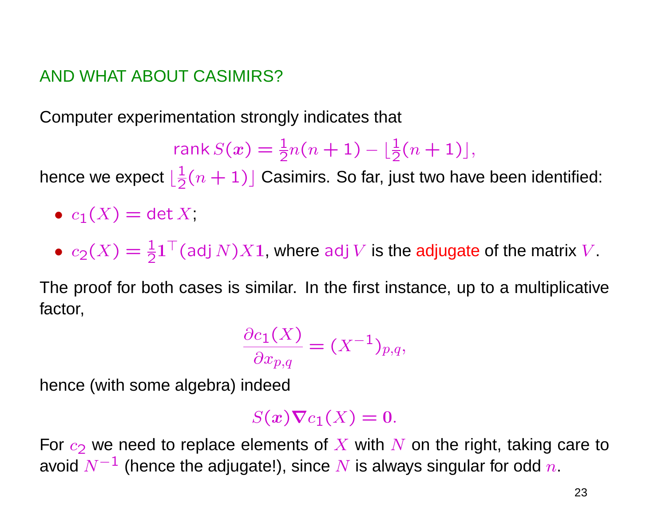#### AND WHAT ABOUT CASIMIRS?

Computer experimentation strongly indicates that

$$
\operatorname{rank} S(x) = \frac{1}{2}n(n+1) - \lfloor \frac{1}{2}(n+1) \rfloor,
$$

hence we expect  $\lfloor\frac{1}{2}\rfloor$  $\frac{1}{2}(n+1)$ ] Casimirs. So far, just two have been identified:

- $\bullet \ c_1(X) = \det X,$
- $c_2(X) = \frac{1}{2}$  $\frac{1}{2}$ 1 $^\top$ (adj  $N$ ) $X$ 1, where adj  $V$  is the  $\bf{adjugate}$  of the matrix  $V.$

The proof for both cases is similar. In the first instance, up to <sup>a</sup> multiplicative factor,

$$
\frac{\partial c_1(X)}{\partial x_{p,q}} = (X^{-1})_{p,q},
$$

hence (with some algebra) indeed

$$
S(x)\nabla c_1(X)=0.
$$

For  $c_2$  we need to replace elements of  $X$  with  $N$  on the right, taking care to avoid  $N^{-1}$  (hence the adjugate!), since  $N$  is always singular for odd  $\overline{n}.$